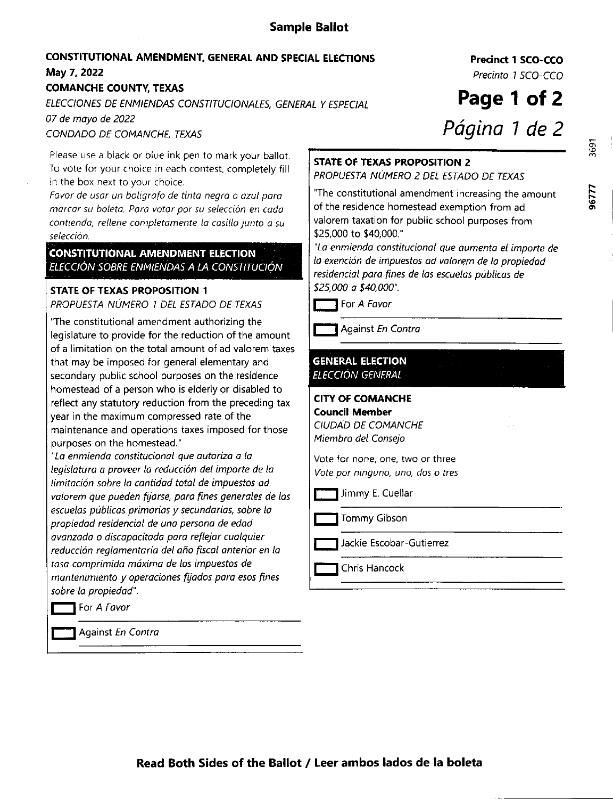### **Sample Ballot**

#### CONSTITUTIONAL AMENDMENT, GENERAL AND SPECIAL ELECTIONS May 7, 2022

#### **COMANCHE COUNTY, TEXAS**

ELECCIONES DE ENMIENDAS CONSTITUCIONALES, GENERAL Y ESPECIAL

07 de mayo de 2022

CONDADO DE COMANCHE. TEXAS

Please use a black or blue ink pen to mark your ballot. To vote for your choice in each contest, completely fill in the box next to your choice.

Favor de usar un boligrafo de tinta negra o azul para marcar su boleta. Para votar por su selección en cada contienda, rellene completamente la casilla junto a su selección.

#### **CONSTITUTIONAL AMENDMENT ELECTION** ELECCIÓN SOBRE ENMIENDAS A LA CONSTITUCIÓN

# **STATE OF TEXAS PROPOSITION 1**

PROPUESTA NÚMERO 1 DEL ESTADO DE TEXAS

"The constitutional amendment authorizing the legislature to provide for the reduction of the amount of a limitation on the total amount of ad valorem taxes that may be imposed for general elementary and secondary public school purposes on the residence homestead of a person who is elderly or disabled to reflect any statutory reduction from the preceding tax year in the maximum compressed rate of the maintenance and operations taxes imposed for those purposes on the homestead."

"La enmienda constitucional que autoriza a la legislatura a proveer la reducción del importe de la limitación sobre la cantidad total de impuestos ad valorem que pueden fijarse, para fines generales de las escuelas públicas primarias y secundarias, sobre la propiedad residencial de una persona de edad avanzada o discapacitada para reflejar cualquier reducción reglamentaria del año fiscal anterior en la tasa comprimida máxima de los impuestos de mantenimiento y operaciones fijados para esos fines sobre la propiedad".

For A Favor

Against En Contra

**Precinct 1 SCO-CCO** 

Precinto 1 SCO-CCO

# **STATE OF TEXAS PROPOSITION 2**

PROPUESTA NÚMERO 2 DEL ESTADO DE TEXAS

"The constitutional amendment increasing the amount of the residence homestead exemption from ad valorem taxation for public school purposes from \$25,000 to \$40,000."

"La enmienda constitucional que aumenta el importe de la exención de impuestos ad valorem de la propiedad residencial para fines de las escuelas públicas de \$25,000 a \$40,000".



Against En Contra

#### **GENERAL ELECTION** ELECCIÓN GENERAL

**CITY OF COMANCHE Council Member** CIUDAD DE COMANCHE

Miembro del Consejo

Vote for none, one, two or three Vote por ninguno, uno, dos o tres

Jimmy E. Cuellar

Tommy Gibson

Jackie Escobar-Gutierrez

Chris Hancock

3691